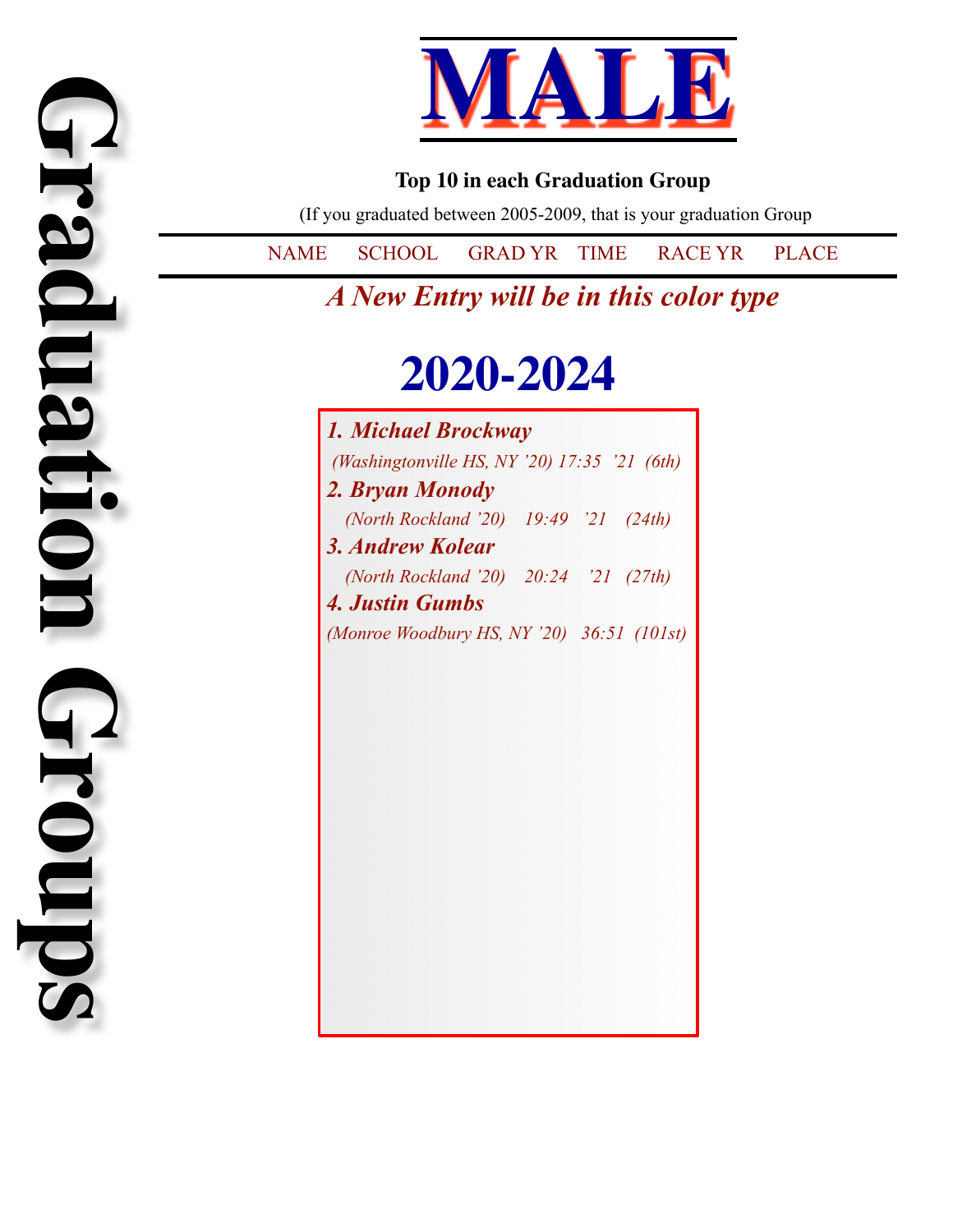

#### **Top 10 in each Graduation Group**

(If you graduated between 2005-2009, that is your graduation Group

NAME SCHOOL GRAD YR TIME RACE YR PLACE

*A New Entry will be in this color type*

## **2020-2024**

*1. Michael Brockway (Washingtonville HS, NY '20) 17:35 '21 (6th) 2. Bryan Monody (North Rockland '20) 19:49 '21 (24th) 3. Andrew Kolear (North Rockland '20) 20:24 '21 (27th) 4. Justin Gumbs (Monroe Woodbury HS, NY '20) 36:51 (101st)*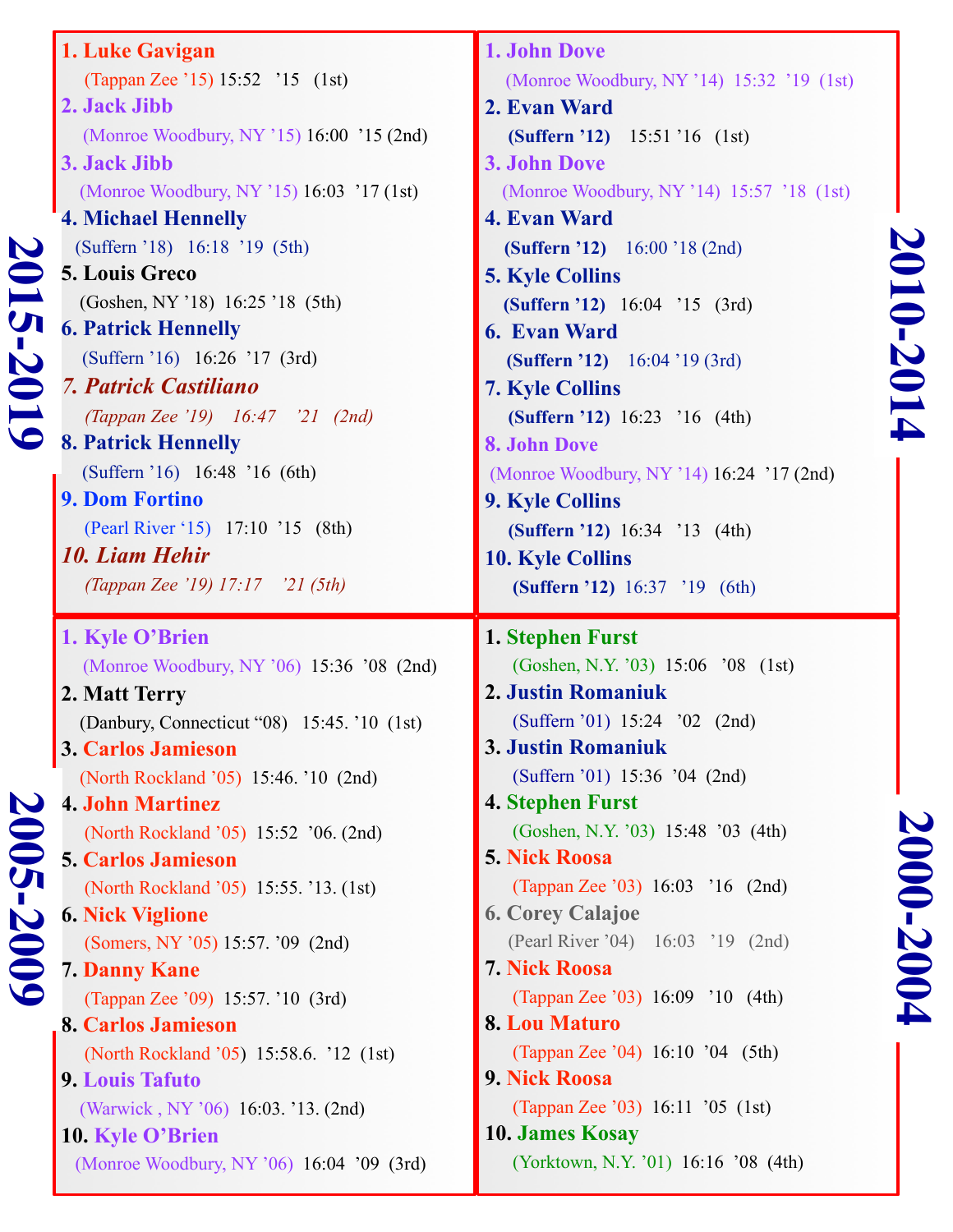| 20<br>$\overline{1}$<br>$\overline{\mathcal{C}}$<br>$\overline{\phantom{0}}$ | 1. Luke Gavigan<br>(Tappan Zee '15) 15:52 '15 (1st)<br>2. Jack Jibb<br>(Monroe Woodbury, NY '15) 16:00 '15 (2nd)<br>3. Jack Jibb<br>(Monroe Woodbury, NY '15) 16:03 '17 (1st)<br><b>4. Michael Hennelly</b><br>(Suffern '18) 16:18 '19 (5th)<br><b>5. Louis Greco</b><br>(Goshen, NY '18) 16:25 '18 (5th)<br><b>6. Patrick Hennelly</b><br>(Suffern '16) 16:26 '17 (3rd)<br><b>7. Patrick Castiliano</b><br>(Tappan Zee '19) 16:47 '21 (2nd)<br><b>8. Patrick Hennelly</b><br>(Suffern '16) 16:48 '16 (6th)<br><b>9. Dom Fortino</b><br>(Pearl River '15) 17:10 '15 (8th)<br><b>10. Liam Hehir</b><br>(Tappan Zee '19) 17:17 '21 (5th)                                 | 1. John Dove<br>(Monroe Woodbury, NY '14) 15:32 '19 (1st)<br>2. Evan Ward<br>(Suffern '12) 15:51 '16 (1st)<br><b>3. John Dove</b><br>(Monroe Woodbury, NY '14) 15:57 '18 (1st)<br><b>4. Evan Ward</b><br>(Suffern '12) 16:00 '18 (2nd)<br><b>5. Kyle Collins</b><br>(Suffern '12) 16:04 '15 (3rd)<br><b>6. Evan Ward</b><br>(Suffern '12) 16:04 '19 (3rd)<br><b>7. Kyle Collins</b><br>(Suffern '12) 16:23 '16 (4th)<br><b>8. John Dove</b><br>(Monroe Woodbury, NY '14) 16:24 '17 (2nd)<br><b>9. Kyle Collins</b><br>(Suffern '12) 16:34 '13 (4th)<br><b>10. Kyle Collins</b><br>(Suffern '12) 16:37 '19 (6th)  | 2010-2014 |
|------------------------------------------------------------------------------|------------------------------------------------------------------------------------------------------------------------------------------------------------------------------------------------------------------------------------------------------------------------------------------------------------------------------------------------------------------------------------------------------------------------------------------------------------------------------------------------------------------------------------------------------------------------------------------------------------------------------------------------------------------------|------------------------------------------------------------------------------------------------------------------------------------------------------------------------------------------------------------------------------------------------------------------------------------------------------------------------------------------------------------------------------------------------------------------------------------------------------------------------------------------------------------------------------------------------------------------------------------------------------------------|-----------|
| $\boldsymbol{\nabla}$<br>$005 - 20$<br>$\bullet$                             | 1. Kyle O'Brien<br>(Monroe Woodbury, NY '06) 15:36 '08 (2nd)<br>2. Matt Terry<br>(Danbury, Connecticut "08) 15:45. '10 (1st)<br>3. Carlos Jamieson<br>(North Rockland '05) 15:46. '10 (2nd)<br><b>4. John Martinez</b><br>(North Rockland '05) 15:52 '06. (2nd)<br><b>5. Carlos Jamieson</b><br>(North Rockland '05) 15:55. '13. (1st)<br><b>6. Nick Viglione</b><br>(Somers, NY '05) 15:57. '09 (2nd)<br><b>7. Danny Kane</b><br>(Tappan Zee '09) 15:57. '10 (3rd)<br>8. Carlos Jamieson<br>(North Rockland '05) 15:58.6. '12 (1st)<br><b>9. Louis Tafuto</b><br>(Warwick, NY '06) 16:03. '13. (2nd)<br>10. Kyle O'Brien<br>(Monroe Woodbury, NY '06) 16:04 '09 (3rd) | 1. Stephen Furst<br>(Goshen, N.Y. '03) 15:06 '08 (1st)<br>2. Justin Romaniuk<br>(Suffern '01) 15:24 '02 (2nd)<br>3. Justin Romaniuk<br>(Suffern '01) 15:36 '04 (2nd)<br><b>4. Stephen Furst</b><br>(Goshen, N.Y. '03) 15:48 '03 (4th)<br><b>5. Nick Roosa</b><br>(Tappan Zee '03) 16:03 '16 (2nd)<br><b>6. Corey Calajoe</b><br>(Pearl River '04) 16:03 '19 (2nd)<br><b>7. Nick Roosa</b><br>(Tappan Zee '03) 16:09 '10 (4th)<br><b>8. Lou Maturo</b><br>(Tappan Zee '04) 16:10 '04 (5th)<br>9. Nick Roosa<br>(Tappan Zee '03) 16:11 '05 (1st)<br><b>10. James Kosay</b><br>(Yorktown, N.Y. '01) 16:16 '08 (4th) | 2000-2004 |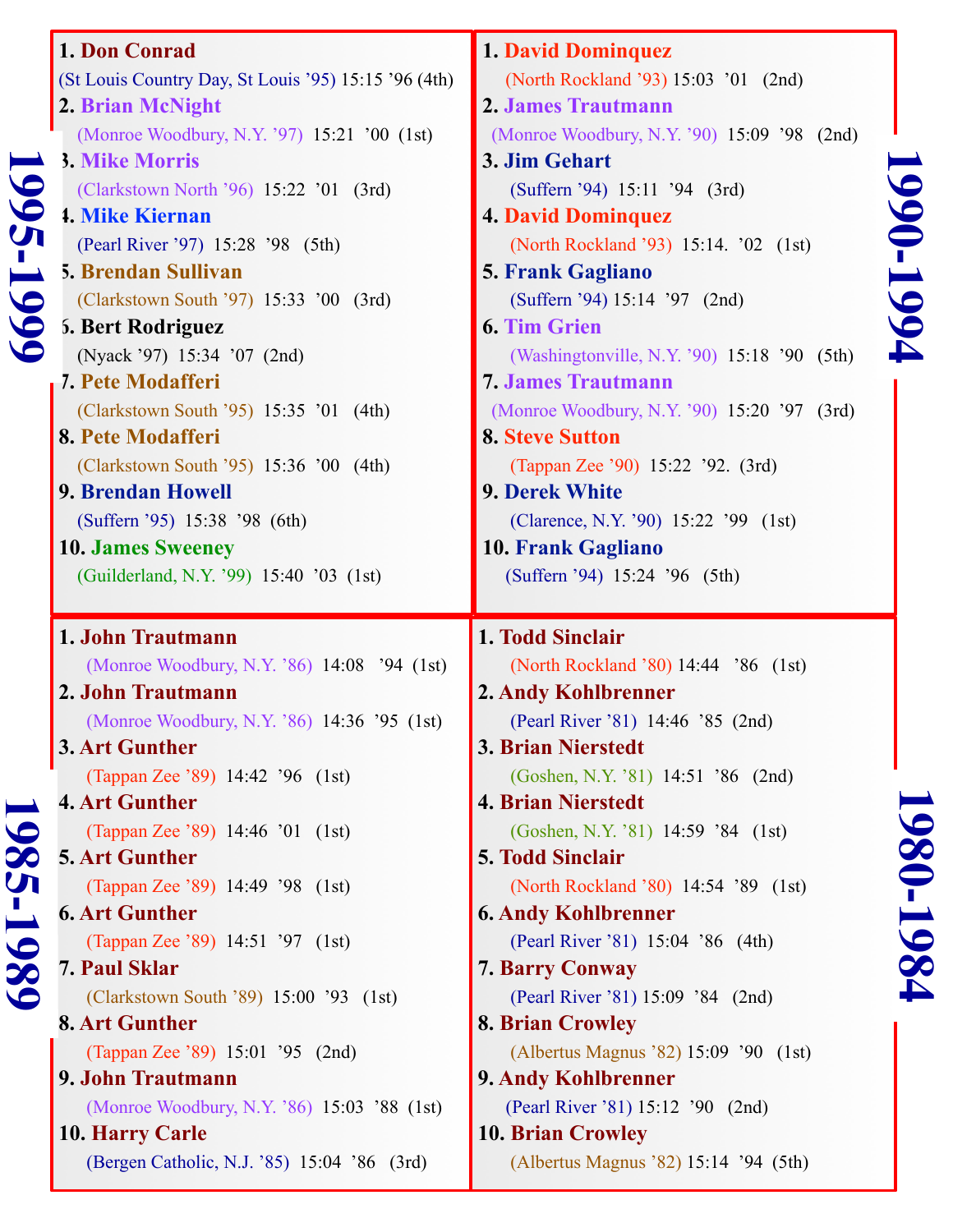|                | 1. Don Conrad                                                 | <b>1. David Dominquez</b>                                         |
|----------------|---------------------------------------------------------------|-------------------------------------------------------------------|
|                | (St Louis Country Day, St Louis '95) 15:15 '96 (4th)          | (North Rockland '93) 15:03 '01 (2nd)                              |
|                | 2. Brian McNight                                              | 2. James Trautmann                                                |
|                | (Monroe Woodbury, N.Y. '97) 15:21 '00 (1st)                   | (Monroe Woodbury, N.Y. '90) 15:09 '98 (2nd)                       |
|                | 3. Mike Morris                                                | 3. Jim Gehart                                                     |
| 995.           | (Clarkstown North '96) 15:22 '01 (3rd)                        | (Suffern '94) 15:11 '94 (3rd)                                     |
|                | <b>1. Mike Kiernan</b>                                        | <b>4. David Dominquez</b>                                         |
|                | (Pearl River '97) 15:28 '98 (5th)                             | (North Rockland '93) 15:14. '02 (1st)                             |
|                | 5. Brendan Sullivan                                           | <b>5. Frank Gagliano</b>                                          |
|                | (Clarkstown South '97) 15:33 '00 (3rd)                        | (Suffern '94) 15:14 '97 (2nd)                                     |
| $-199$         | 5. Bert Rodriguez                                             | <b>6. Tim Grien</b>                                               |
|                | (Nyack '97) 15:34 '07 (2nd)                                   | (Washingtonville, N.Y. '90) 15:18 '90 (5th)                       |
|                | 7. Pete Modafferi                                             | <b>7. James Trautmann</b>                                         |
|                | (Clarkstown South '95) 15:35 '01 (4th)                        | (Monroe Woodbury, N.Y. '90) 15:20 '97 (3rd)                       |
|                | 8. Pete Modafferi                                             | <b>8. Steve Sutton</b>                                            |
|                | (Clarkstown South '95) 15:36 '00 (4th)                        | (Tappan Zee '90) 15:22 '92. (3rd)                                 |
|                | <b>9. Brendan Howell</b>                                      | 9. Derek White                                                    |
|                | (Suffern '95) 15:38 '98 (6th)                                 | (Clarence, N.Y. '90) 15:22 '99 (1st)                              |
|                | <b>10. James Sweeney</b>                                      | <b>10. Frank Gagliano</b>                                         |
|                | (Guilderland, N.Y. '99) 15:40 '03 (1st)                       | (Suffern '94) 15:24 '96 (5th)                                     |
|                |                                                               |                                                                   |
|                | 1. John Trautmann                                             | 1. Todd Sinclair                                                  |
|                | (Monroe Woodbury, N.Y. '86) 14:08 '94 (1st)                   |                                                                   |
|                | 2. John Trautmann                                             | (North Rockland '80) 14:44 '86 (1st)<br>2. Andy Kohlbrenner       |
|                |                                                               | (Pearl River '81) 14:46 '85 (2nd)                                 |
|                | (Monroe Woodbury, N.Y. '86) 14:36 '95 (1st)<br>3. Art Gunther | 3. Brian Nierstedt                                                |
|                | (Tappan Zee '89) 14:42 '96 (1st)                              | (Goshen, N.Y. '81) 14:51 '86 (2nd)                                |
|                | <b>4. Art Gunther</b>                                         | <b>4. Brian Nierstedt</b>                                         |
|                | (Tappan Zee '89) 14:46 '01 (1st)                              | (Goshen, N.Y. '81) 14:59 '84 (1st)                                |
| $\overline{G}$ | <b>5. Art Gunther</b>                                         | <b>5. Todd Sinclair</b>                                           |
| $\infty$       | (Tappan Zee '89) 14:49 '98 (1st)                              | (North Rockland '80) 14:54 '89 (1st)                              |
| $\mathbf{y}$   | <b>6. Art Gunther</b>                                         | <b>6. Andy Kohlbrenner</b>                                        |
|                | (Tappan Zee '89) 14:51 '97 (1st)                              | (Pearl River '81) 15:04 '86 (4th)                                 |
|                | <b>7. Paul Sklar</b>                                          | <b>7. Barry Conway</b>                                            |
| 1989           | (Clarkstown South '89) 15:00 '93 (1st)                        | (Pearl River '81) 15:09 '84 (2nd)                                 |
|                | 8. Art Gunther                                                | <b>8. Brian Crowley</b>                                           |
|                | (Tappan Zee '89) 15:01 '95 (2nd)                              | (Albertus Magnus '82) 15:09 '90 (1st)                             |
|                | 9. John Trautmann                                             | 9. Andy Kohlbrenner                                               |
|                | (Monroe Woodbury, N.Y. '86) 15:03 '88 (1st)                   | (Pearl River '81) 15:12 '90 (2nd)                                 |
|                | <b>10. Harry Carle</b>                                        | <b>10. Brian Crowley</b><br>(Albertus Magnus '82) 15:14 '94 (5th) |

1990-1994 **1990-1994**

# 1980-1984 **1980-1984**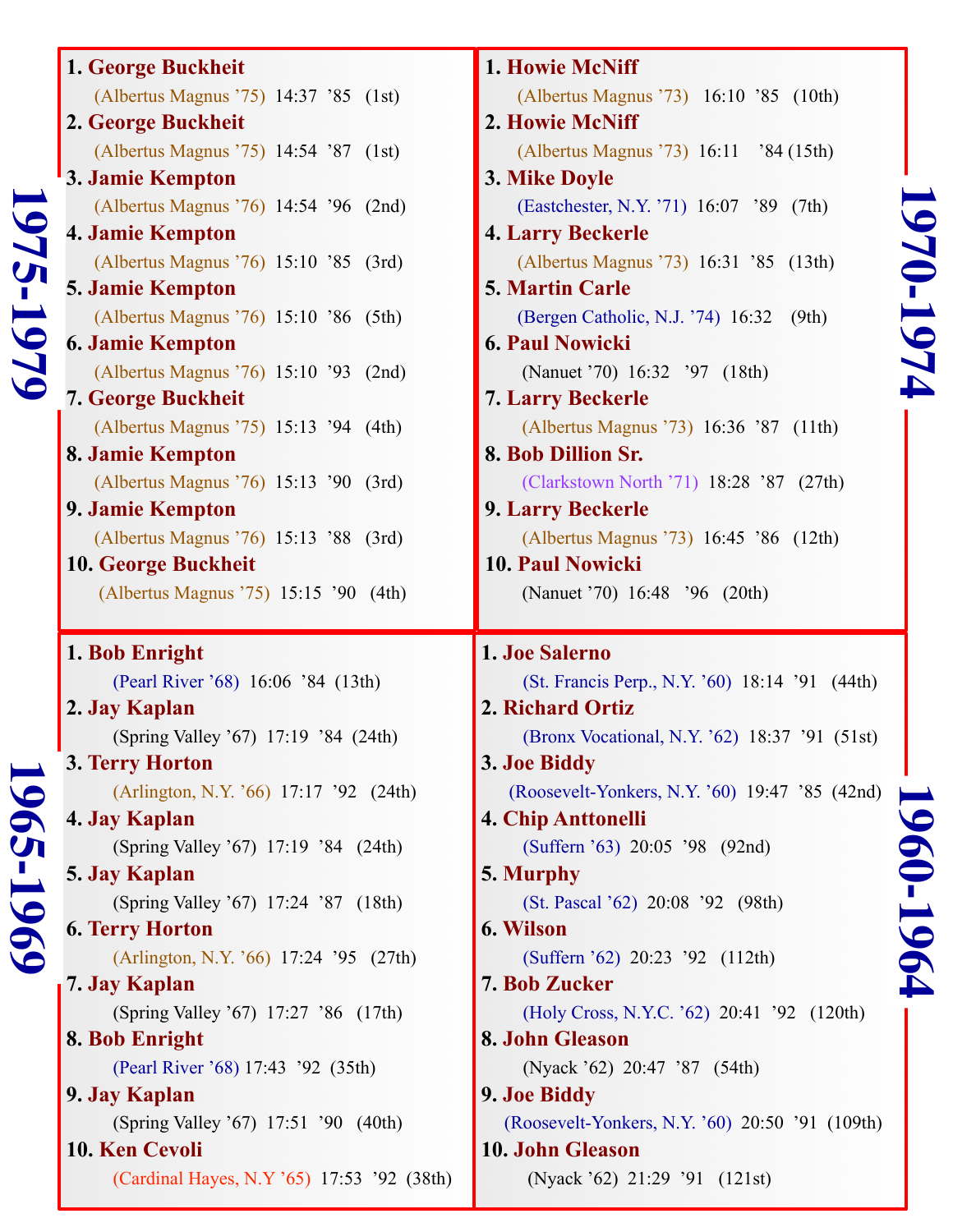| $\overline{\phantom{0}}$<br>$\bullet$ |  |
|---------------------------------------|--|
|                                       |  |
| L<br>1                                |  |
| --                                    |  |
| $\overline{\phantom{0}}$              |  |
| $\blacktriangleright$                 |  |
| I<br>↘                                |  |

**1960-1964**

1961-1964

#### **1. George Buckheit** (Albertus Magnus '75) 14:37 '85 (1st) **2. George Buckheit** (Albertus Magnus '75) 14:54 '87 (1st) **3. Jamie Kempton** (Albertus Magnus '76) 14:54 '96 (2nd) **4. Jamie Kempton** (Albertus Magnus '76) 15:10 '85 (3rd) **5. Jamie Kempton** (Albertus Magnus '76) 15:10 '86 (5th) **6. Jamie Kempton**  (Albertus Magnus '76) 15:10 '93 (2nd) **7. George Buckheit** (Albertus Magnus '75) 15:13 '94 (4th) **8. Jamie Kempton** (Albertus Magnus '76) 15:13 '90 (3rd) **9. Jamie Kempton** (Albertus Magnus '76) 15:13 '88 (3rd) **10. George Buckheit** (Albertus Magnus '75) 15:15 '90 (4th) **1. Bob Enright** (Pearl River '68) 16:06 '84 (13th) **2. Jay Kaplan** (Spring Valley '67) 17:19 '84 (24th) **3. Terry Horton** (Arlington, N.Y. '66) 17:17 '92 (24th) **4. Jay Kaplan** (Spring Valley '67) 17:19 '84 (24th) **5. Jay Kaplan** (Spring Valley '67) 17:24 '87 (18th) **6. Terry Horton** (Arlington, N.Y. '66) 17:24 '95 (27th) **7. Jay Kaplan** (Spring Valley '67) 17:27 '86 (17th) **8. Bob Enright** (Pearl River '68) 17:43 '92 (35th) **9. Jay Kaplan**

 (Spring Valley '67) 17:51 '90 (40th) **10. Ken Cevoli** (Cardinal Hayes, N.Y '65) 17:53 '92 (38th)

**1. Howie McNiff** (Albertus Magnus '73) 16:10 '85 (10th) **2. Howie McNiff** (Albertus Magnus '73) 16:11 '84 (15th) **3. Mike Doyle** (Eastchester, N.Y. '71) 16:07 '89 (7th) **4. Larry Beckerle** (Albertus Magnus '73) 16:31 '85 (13th) **5. Martin Carle** (Bergen Catholic, N.J. '74) 16:32 (9th) **6. Paul Nowicki** (Nanuet '70) 16:32 '97 (18th) **7. Larry Beckerle** (Albertus Magnus '73) 16:36 '87 (11th) **8. Bob Dillion Sr.** (Clarkstown North '71) 18:28 '87 (27th) **9. Larry Beckerle** (Albertus Magnus '73) 16:45 '86 (12th) **10. Paul Nowicki** (Nanuet '70) 16:48 '96 (20th) **1. Joe Salerno** (St. Francis Perp., N.Y. '60) 18:14 '91 (44th) **2. Richard Ortiz** (Bronx Vocational, N.Y. '62) 18:37 '91 (51st) **3. Joe Biddy** (Roosevelt-Yonkers, N.Y. '60) 19:47 '85 (42nd) **4. Chip Anttonelli** (Suffern '63) 20:05 '98 (92nd) **5. Murphy**  (St. Pascal '62) 20:08 '92 (98th) **6. Wilson** (Suffern '62) 20:23 '92 (112th) **7. Bob Zucker** (Holy Cross, N.Y.C. '62) 20:41 '92 (120th) **8. John Gleason** (Nyack '62) 20:47 '87 (54th) **9. Joe Biddy** (Roosevelt-Yonkers, N.Y. '60) 20:50 '91 (109th) **10. John Gleason**

(Nyack '62) 21:29 '91 (121st)

# **1975-1979** 1975-1979

**1965-1969** 965-1969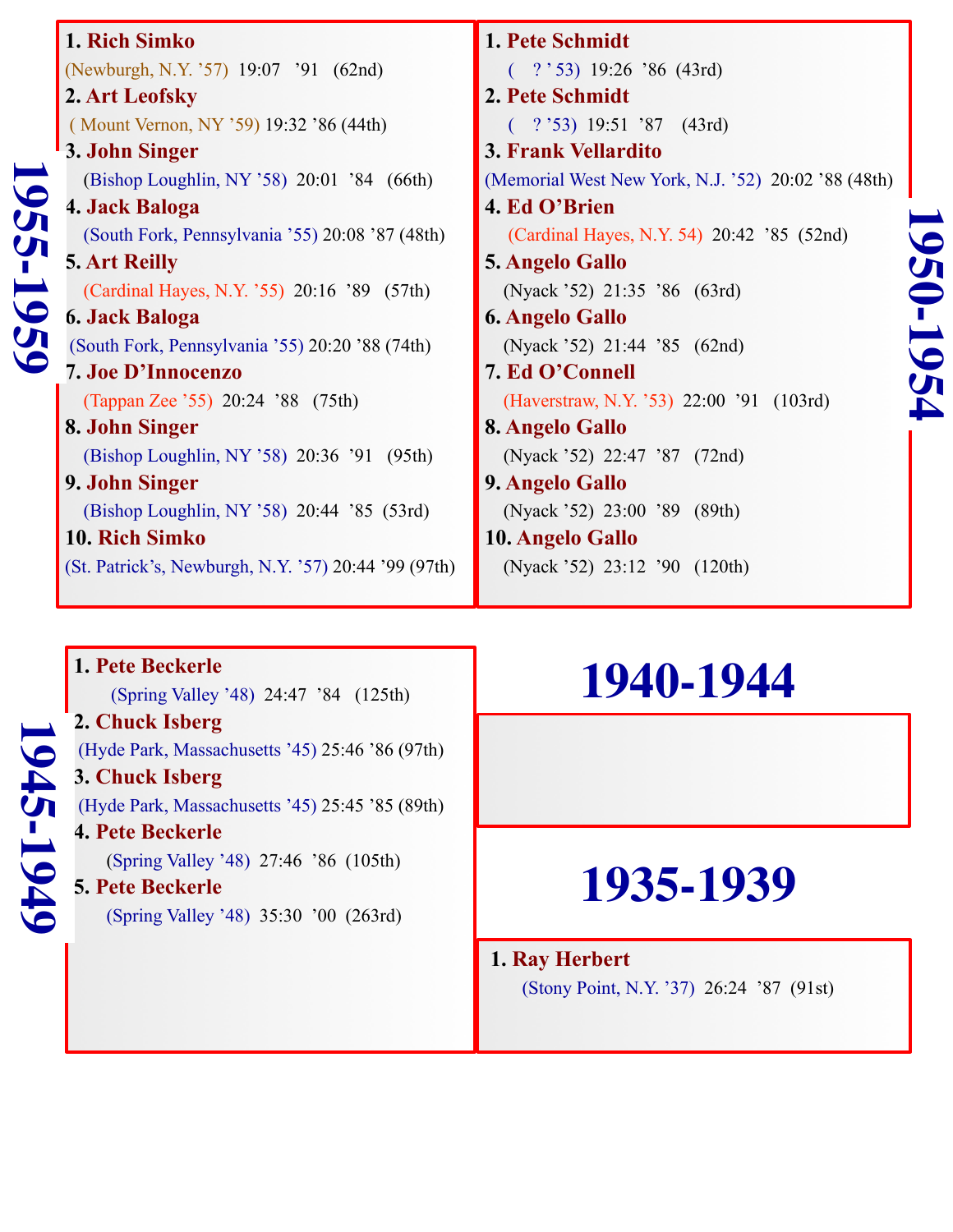| 1. Rich Simko                                        | 1. Pete Schmidt                                     |
|------------------------------------------------------|-----------------------------------------------------|
| (Newburgh, N.Y. '57) 19:07 '91 (62nd)                | $($ ? $\dot{53}$ ) 19:26 '86 (43rd)                 |
| 2. Art Leofsky                                       | 2. Pete Schmidt                                     |
| (Mount Vernon, NY '59) 19:32 '86 (44th)              | $($ ? '53) 19:51 '87 (43rd)                         |
| 3. John Singer                                       | <b>3. Frank Vellardito</b>                          |
| (Bishop Loughlin, NY '58) 20:01 '84 (66th)           | (Memorial West New York, N.J. '52) 20:02 '88 (48th) |
| 4. Jack Baloga                                       | 4. Ed O'Brien                                       |
| (South Fork, Pennsylvania '55) 20:08 '87 (48th)      | (Cardinal Hayes, N.Y. 54) 20:42 '85 (52nd)          |
| <b>5. Art Reilly</b>                                 | <b>5. Angelo Gallo</b>                              |
| (Cardinal Hayes, N.Y. '55) 20:16 '89 (57th)          | (Nyack '52) 21:35 '86 (63rd)                        |
| 6. Jack Baloga                                       | <b>6. Angelo Gallo</b>                              |
| (South Fork, Pennsylvania '55) 20:20 '88 (74th)      | (Nyack '52) 21:44 '85 (62nd)                        |
| <b>7. Joe D'Innocenzo</b>                            | 7. Ed O'Connell                                     |
| (Tappan Zee '55) 20:24 '88 (75th)                    | (Haverstraw, N.Y. '53) 22:00 '91 (103rd)            |
| 8. John Singer                                       | 8. Angelo Gallo                                     |
| (Bishop Loughlin, NY '58) 20:36 '91 (95th)           | (Nyack '52) 22:47 '87 (72nd)                        |
| 9. John Singer                                       | 9. Angelo Gallo                                     |
| (Bishop Loughlin, NY '58) 20:44 '85 (53rd)           | (Nyack '52) 23:00 '89 (89th)                        |
| 10. Rich Simko                                       | 10. Angelo Gallo                                    |
| (St. Patrick's, Newburgh, N.Y. '57) 20:44 '99 (97th) | (Nyack '52) 23:12 '90 (120th)                       |

## $(72nd)$  $(89th)$  $(120th)$

**1950-1954**

1950-1954

## **1. Pete Beckerle 1945-1949** 1945-1949

(Spring Valley '48) 24:47 '84 (125th)

#### **2. Chuck Isberg**

(Hyde Park, Massachusetts '45) 25:46 '86 (97th)

#### **3. Chuck Isberg**

(Hyde Park, Massachusetts '45) 25:45 '85 (89th)

#### **4. Pete Beckerle**

(Spring Valley '48) 27:46 '86 (105th)

#### **5. Pete Beckerle**

(Spring Valley '48) 35:30 '00 (263rd)

### **1940-1944**

## **1935-1939**

#### **1. Ray Herbert** (Stony Point, N.Y. '37) 26:24 '87 (91st)

# **1955-1959** 1955-1959